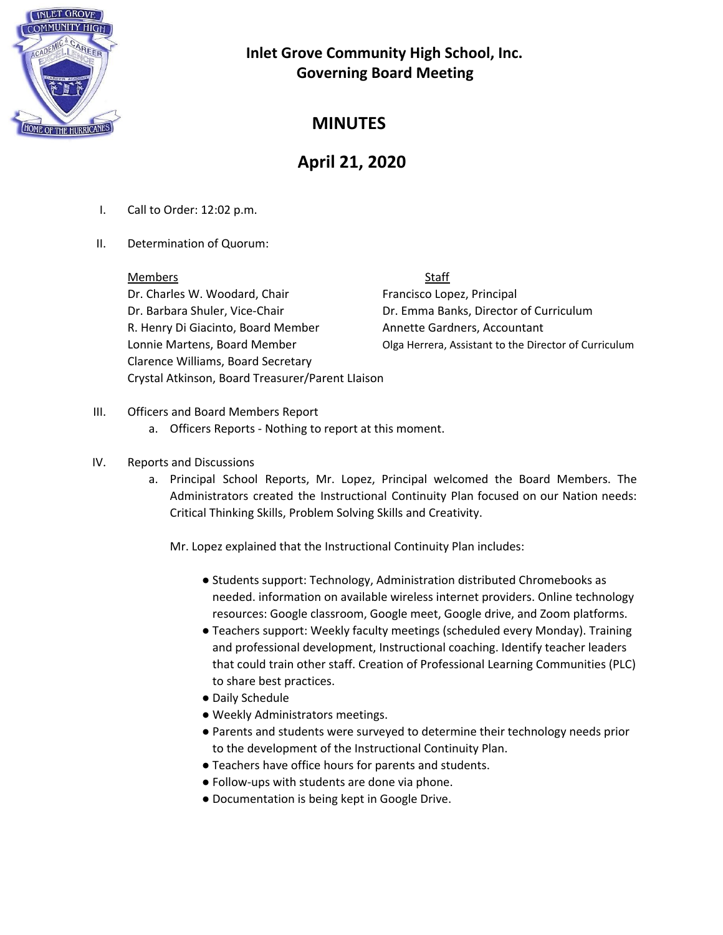

## **MINUTES**

# **April 21, 2020**

- I. Call to Order: 12:02 p.m.
- II. Determination of Quorum:

Members Staff Dr. Charles W. Woodard, Chair Francisco Lopez, Principal Dr. Barbara Shuler, Vice-Chair **Dr. Emma Banks, Director of Curriculum** R. Henry Di Giacinto, Board Member Annette Gardners, Accountant Clarence Williams, Board Secretary Crystal Atkinson, Board Treasurer/Parent LIaison

Lonnie Martens, Board Member **Canadia Herrera, Assistant to the Director of Curriculum** 

- III. Officers and Board Members Report
	- a. Officers Reports Nothing to report at this moment.

#### IV. Reports and Discussions

a. Principal School Reports, Mr. Lopez, Principal welcomed the Board Members. The Administrators created the Instructional Continuity Plan focused on our Nation needs: Critical Thinking Skills, Problem Solving Skills and Creativity.

Mr. Lopez explained that the Instructional Continuity Plan includes:

- Students support: Technology, Administration distributed Chromebooks as needed. information on available wireless internet providers. Online technology resources: Google classroom, Google meet, Google drive, and Zoom platforms.
- Teachers support: Weekly faculty meetings (scheduled every Monday). Training and professional development, Instructional coaching. Identify teacher leaders that could train other staff. Creation of Professional Learning Communities (PLC) to share best practices.
- Daily Schedule
- Weekly Administrators meetings.
- Parents and students were surveyed to determine their technology needs prior to the development of the Instructional Continuity Plan.
- Teachers have office hours for parents and students.
- Follow-ups with students are done via phone.
- Documentation is being kept in Google Drive.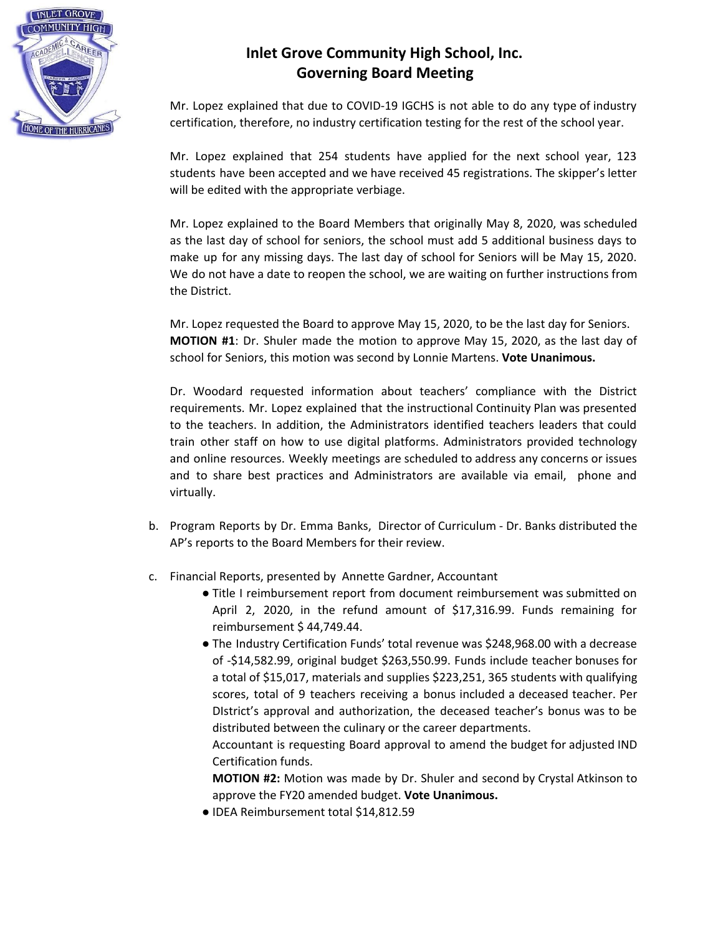

Mr. Lopez explained that due to COVID-19 IGCHS is not able to do any type of industry certification, therefore, no industry certification testing for the rest of the school year.

Mr. Lopez explained that 254 students have applied for the next school year, 123 students have been accepted and we have received 45 registrations. The skipper's letter will be edited with the appropriate verbiage.

Mr. Lopez explained to the Board Members that originally May 8, 2020, was scheduled as the last day of school for seniors, the school must add 5 additional business days to make up for any missing days. The last day of school for Seniors will be May 15, 2020. We do not have a date to reopen the school, we are waiting on further instructions from the District.

Mr. Lopez requested the Board to approve May 15, 2020, to be the last day for Seniors. **MOTION #1**: Dr. Shuler made the motion to approve May 15, 2020, as the last day of school for Seniors, this motion was second by Lonnie Martens. **Vote Unanimous.**

Dr. Woodard requested information about teachers' compliance with the District requirements. Mr. Lopez explained that the instructional Continuity Plan was presented to the teachers. In addition, the Administrators identified teachers leaders that could train other staff on how to use digital platforms. Administrators provided technology and online resources. Weekly meetings are scheduled to address any concerns or issues and to share best practices and Administrators are available via email, phone and virtually.

- b. Program Reports by Dr. Emma Banks, Director of Curriculum Dr. Banks distributed the AP's reports to the Board Members for their review.
- c. Financial Reports, presented by Annette Gardner, Accountant
	- Title I reimbursement report from document reimbursement was submitted on April 2, 2020, in the refund amount of \$17,316.99. Funds remaining for reimbursement \$ 44,749.44.
	- The Industry Certification Funds' total revenue was \$248,968.00 with a decrease of -\$14,582.99, original budget \$263,550.99. Funds include teacher bonuses for a total of \$15,017, materials and supplies \$223,251, 365 students with qualifying scores, total of 9 teachers receiving a bonus included a deceased teacher. Per DIstrict's approval and authorization, the deceased teacher's bonus was to be distributed between the culinary or the career departments.

Accountant is requesting Board approval to amend the budget for adjusted IND Certification funds.

**MOTION #2:** Motion was made by Dr. Shuler and second by Crystal Atkinson to approve the FY20 amended budget. **Vote Unanimous.**

● IDEA Reimbursement total \$14,812.59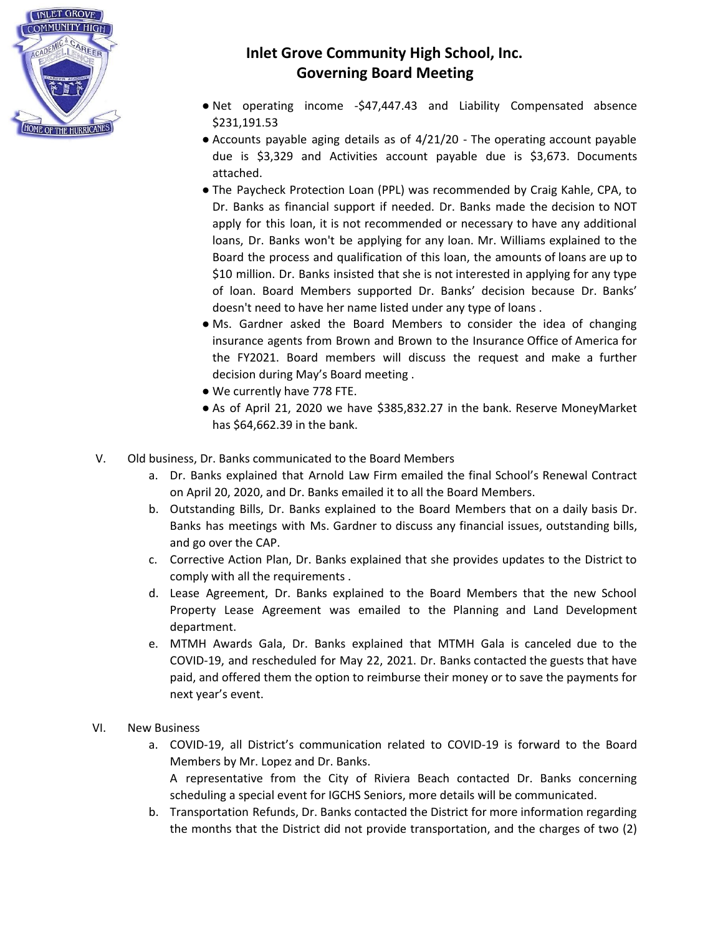

- Net operating income -\$47,447.43 and Liability Compensated absence \$231,191.53
- Accounts payable aging details as of 4/21/20 The operating account payable due is \$3,329 and Activities account payable due is \$3,673. Documents attached.
- The Paycheck Protection Loan (PPL) was recommended by Craig Kahle, CPA, to Dr. Banks as financial support if needed. Dr. Banks made the decision to NOT apply for this loan, it is not recommended or necessary to have any additional loans, Dr. Banks won't be applying for any loan. Mr. Williams explained to the Board the process and qualification of this loan, the amounts of loans are up to \$10 million. Dr. Banks insisted that she is not interested in applying for any type of loan. Board Members supported Dr. Banks' decision because Dr. Banks' doesn't need to have her name listed under any type of loans .
- Ms. Gardner asked the Board Members to consider the idea of changing insurance agents from Brown and Brown to the Insurance Office of America for the FY2021. Board members will discuss the request and make a further decision during May's Board meeting .
- We currently have 778 FTE.
- As of April 21, 2020 we have \$385,832.27 in the bank. Reserve MoneyMarket has \$64,662.39 in the bank.
- V. Old business, Dr. Banks communicated to the Board Members
	- a. Dr. Banks explained that Arnold Law Firm emailed the final School's Renewal Contract on April 20, 2020, and Dr. Banks emailed it to all the Board Members.
	- b. Outstanding Bills, Dr. Banks explained to the Board Members that on a daily basis Dr. Banks has meetings with Ms. Gardner to discuss any financial issues, outstanding bills, and go over the CAP.
	- c. Corrective Action Plan, Dr. Banks explained that she provides updates to the District to comply with all the requirements .
	- d. Lease Agreement, Dr. Banks explained to the Board Members that the new School Property Lease Agreement was emailed to the Planning and Land Development department.
	- e. MTMH Awards Gala, Dr. Banks explained that MTMH Gala is canceled due to the COVID-19, and rescheduled for May 22, 2021. Dr. Banks contacted the guests that have paid, and offered them the option to reimburse their money or to save the payments for next year's event.
- VI. New Business
	- a. COVID-19, all District's communication related to COVID-19 is forward to the Board Members by Mr. Lopez and Dr. Banks. A representative from the City of Riviera Beach contacted Dr. Banks concerning scheduling a special event for IGCHS Seniors, more details will be communicated.
	- b. Transportation Refunds, Dr. Banks contacted the District for more information regarding the months that the District did not provide transportation, and the charges of two (2)